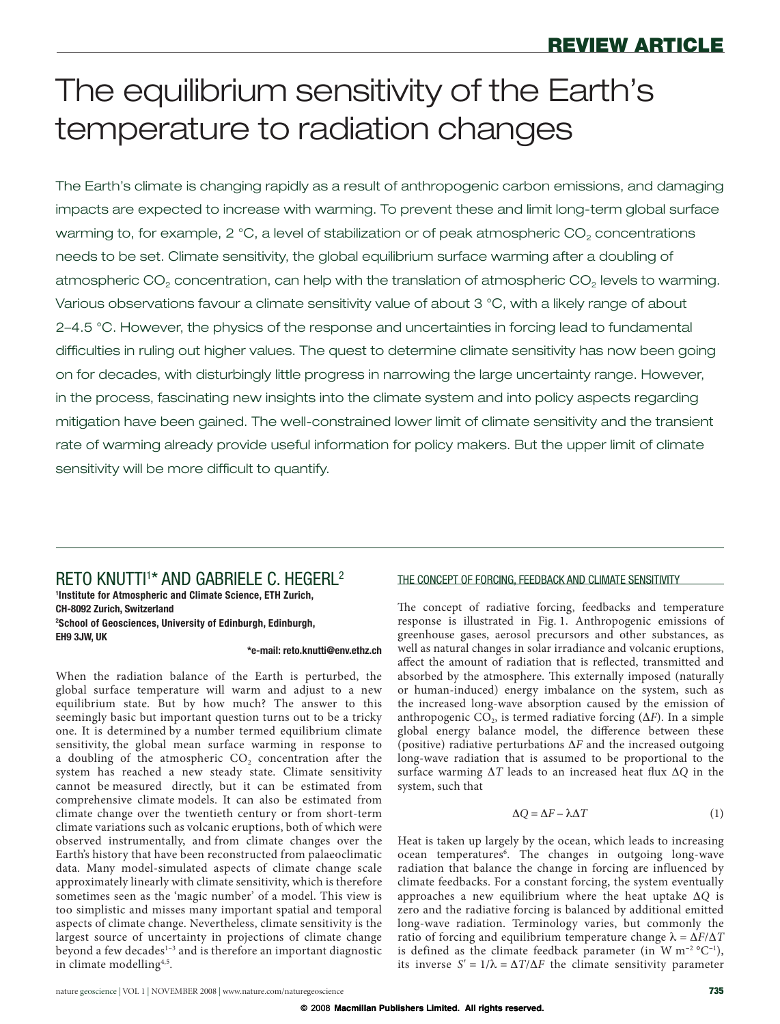# The equilibrium sensitivity of the Earth's temperature to radiation changes

The Earth's climate is changing rapidly as a result of anthropogenic carbon emissions, and damaging impacts are expected to increase with warming. To prevent these and limit long-term global surface warming to, for example, 2 °C, a level of stabilization or of peak atmospheric CO<sub>2</sub> concentrations needs to be set. Climate sensitivity, the global equilibrium surface warming after a doubling of atmospheric CO<sub>2</sub> concentration, can help with the translation of atmospheric CO<sub>2</sub> levels to warming. Various observations favour a climate sensitivity value of about 3 °C, with a likely range of about 2–4.5 °C. However, the physics of the response and uncertainties in forcing lead to fundamental difficulties in ruling out higher values. The quest to determine climate sensitivity has now been going on for decades, with disturbingly little progress in narrowing the large uncertainty range. However, in the process, fascinating new insights into the climate system and into policy aspects regarding mitigation have been gained. The well-constrained lower limit of climate sensitivity and the transient rate of warming already provide useful information for policy makers. But the upper limit of climate sensitivity will be more difficult to quantify.

RETO KNUTTI1 \* AND GABRIELE C. HEGERL2 **1 Institute for Atmospheric and Climate Science, ETH Zurich, CH-8092 Zurich, Switzerland**

**2 School of Geosciences, University of Edinburgh, Edinburgh, EH9 3JW, UK** 

### **\*e-mail: reto.knutti@env.ethz.ch**

When the radiation balance of the Earth is perturbed, the global surface temperature will warm and adjust to a new equilibrium state. But by how much? The answer to this seemingly basic but important question turns out to be a tricky one. It is determined by a number termed equilibrium climate sensitivity, the global mean surface warming in response to a doubling of the atmospheric  $CO<sub>2</sub>$  concentration after the system has reached a new steady state. Climate sensitivity cannot be measured directly, but it can be estimated from comprehensive climate models. It can also be estimated from climate change over the twentieth century or from short-term climate variations such as volcanic eruptions, both of which were observed instrumentally, and from climate changes over the Earth's history that have been reconstructed from palaeoclimatic data. Many model-simulated aspects of climate change scale approximately linearly with climate sensitivity, which is therefore sometimes seen as the 'magic number' of a model. This view is too simplistic and misses many important spatial and temporal aspects of climate change. Nevertheless, climate sensitivity is the largest source of uncertainty in projections of climate change beyond a few decades<sup>1-3</sup> and is therefore an important diagnostic in climate modelling4,5 .

### THE CONCEPT OF FORCING, FEEDBACK AND CLIMATE SENSITIVITY

The concept of radiative forcing, feedbacks and temperature response is illustrated in Fig. 1. Anthropogenic emissions of greenhouse gases, aerosol precursors and other substances, as well as natural changes in solar irradiance and volcanic eruptions, affect the amount of radiation that is reflected, transmitted and absorbed by the atmosphere. This externally imposed (naturally or human-induced) energy imbalance on the system, such as the increased long-wave absorption caused by the emission of anthropogenic  $CO<sub>2</sub>$ , is termed radiative forcing ( $\Delta F$ ). In a simple global energy balance model, the difference between these (positive) radiative perturbations  $\Delta F$  and the increased outgoing long-wave radiation that is assumed to be proportional to the surface warming  $\Delta T$  leads to an increased heat flux  $\Delta Q$  in the system, such that

$$
\Delta Q = \Delta F - \lambda \Delta T \tag{1}
$$

Heat is taken up largely by the ocean, which leads to increasing ocean temperatures<sup>6</sup>. The changes in outgoing long-wave radiation that balance the change in forcing are influenced by climate feedbacks. For a constant forcing, the system eventually approaches a new equilibrium where the heat uptake  $\Delta Q$  is zero and the radiative forcing is balanced by additional emitted long-wave radiation. Terminology varies, but commonly the ratio of forcing and equilibrium temperature change  $\lambda = \Delta F / \Delta T$ is defined as the climate feedback parameter (in  $W$  m<sup>-2</sup>  $^{\circ}$ C<sup>-1</sup>), its inverse  $S' = 1/\lambda = \Delta T/\Delta F$  the climate sensitivity parameter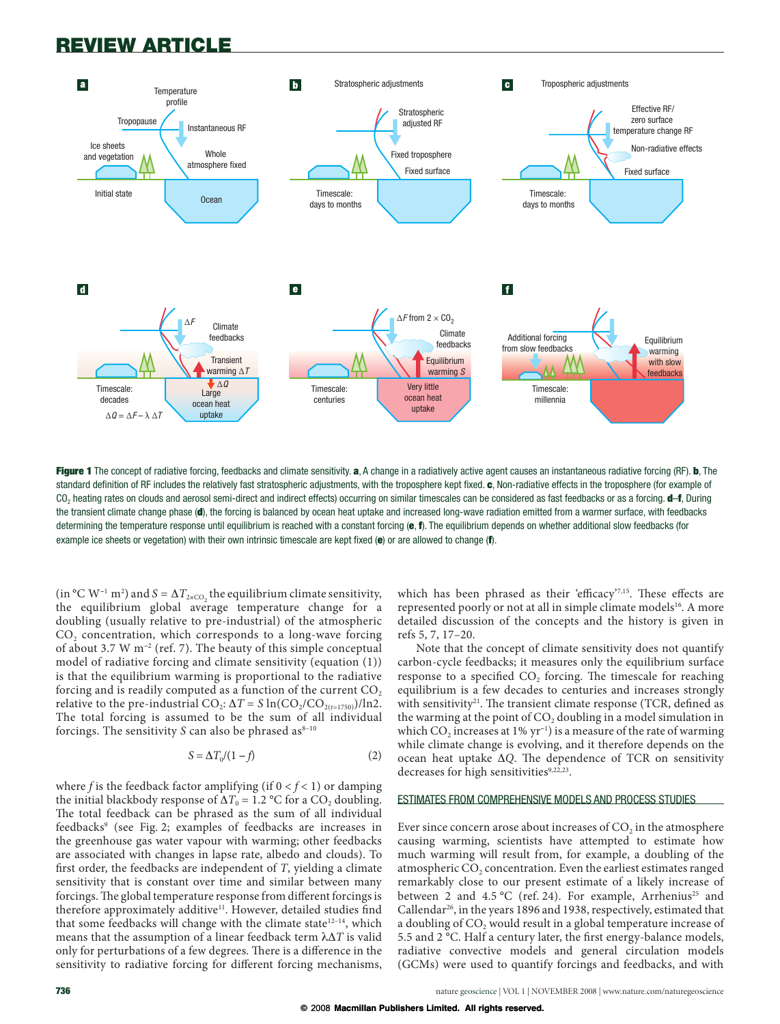

Figure 1 The concept of radiative forcing, feedbacks and climate sensitivity. a, A change in a radiatively active agent causes an instantaneous radiative forcing (RF). b, The standard definition of RF includes the relatively fast stratospheric adjustments, with the troposphere kept fixed. c, Non-radiative effects in the troposphere (for example of CO<sub>2</sub> heating rates on clouds and aerosol semi-direct and indirect effects) occurring on similar timescales can be considered as fast feedbacks or as a forcing. **d-f**, During the transient climate change phase (d), the forcing is balanced by ocean heat uptake and increased long-wave radiation emitted from a warmer surface, with feedbacks determining the temperature response until equilibrium is reached with a constant forcing  $(e, f)$ . The equilibrium depends on whether additional slow feedbacks (for example ice sheets or vegetation) with their own intrinsic timescale are kept fixed  $(e)$  or are allowed to change  $(f)$ .

(in °C W<sup>-1</sup> m<sup>2</sup>) and  $S = \Delta T_{2 \times CO_2}$  the equilibrium climate sensitivity, the equilibrium global average temperature change for a doubling (usually relative to pre-industrial) of the atmospheric CO<sub>2</sub> concentration, which corresponds to a long-wave forcing of about 3.7 W m<sup>-2</sup> (ref. 7). The beauty of this simple conceptual model of radiative forcing and climate sensitivity (equation (1)) is that the equilibrium warming is proportional to the radiative forcing and is readily computed as a function of the current CO<sub>2</sub> relative to the pre-industrial CO<sub>2</sub>:  $\Delta T = S \ln(CO_2/CO_{2(t=1750)})/ln2$ . The total forcing is assumed to be the sum of all individual forcings. The sensitivity S can also be phrased as $^{8-10}$ 

$$
S = \Delta T_0 / (1 - f) \tag{2}
$$

where f is the feedback factor amplifying (if  $0 < f < 1$ ) or damping the initial blackbody response of  $\Delta T_0 = 1.2$  °C for a CO<sub>2</sub> doubling. The total feedback can be phrased as the sum of all individual feedbacks<sup>9</sup> (see Fig. 2; examples of feedbacks are increases in the greenhouse gas water vapour with warming; other feedbacks are associated with changes in lapse rate, albedo and clouds). To first order, the feedbacks are independent of  $T$ , yielding a climate sensitivity that is constant over time and similar between many forcings. The global temperature response from different forcings is therefore approximately additive<sup>11</sup>. However, detailed studies find that some feedbacks will change with the climate state<sup>12-14</sup>, which means that the assumption of a linear feedback term  $\lambda \Delta T$  is valid only for perturbations of a few degrees. There is a difference in the sensitivity to radiative forcing for different forcing mechanisms,

which has been phrased as their 'efficacy'<sup>7,15</sup>. These effects are represented poorly or not at all in simple climate models<sup>16</sup>. A more detailed discussion of the concepts and the history is given in refs 5, 7, 17-20.

Note that the concept of climate sensitivity does not quantify carbon-cycle feedbacks; it measures only the equilibrium surface response to a specified  $CO<sub>2</sub>$  forcing. The timescale for reaching equilibrium is a few decades to centuries and increases strongly with sensitivity<sup>21</sup>. The transient climate response (TCR, defined as the warming at the point of CO<sub>2</sub> doubling in a model simulation in which  $CO<sub>2</sub>$  increases at 1% yr<sup>-1</sup>) is a measure of the rate of warming while climate change is evolving, and it therefore depends on the ocean heat uptake  $\Delta Q$ . The dependence of TCR on sensitivity decreases for high sensitivities9,22,23.

### ESTIMATES FROM COMPREHENSIVE MODELS AND PROCESS STUDIES

Ever since concern arose about increases of CO<sub>2</sub> in the atmosphere causing warming, scientists have attempted to estimate how much warming will result from, for example, a doubling of the atmospheric CO<sub>2</sub> concentration. Even the earliest estimates ranged remarkably close to our present estimate of a likely increase of between 2 and 4.5 °C (ref. 24). For example, Arrhenius<sup>25</sup> and Callendar<sup>26</sup>, in the years 1896 and 1938, respectively, estimated that a doubling of CO, would result in a global temperature increase of 5.5 and 2 °C. Half a century later, the first energy-balance models, radiative convective models and general circulation models (GCMs) were used to quantify forcings and feedbacks, and with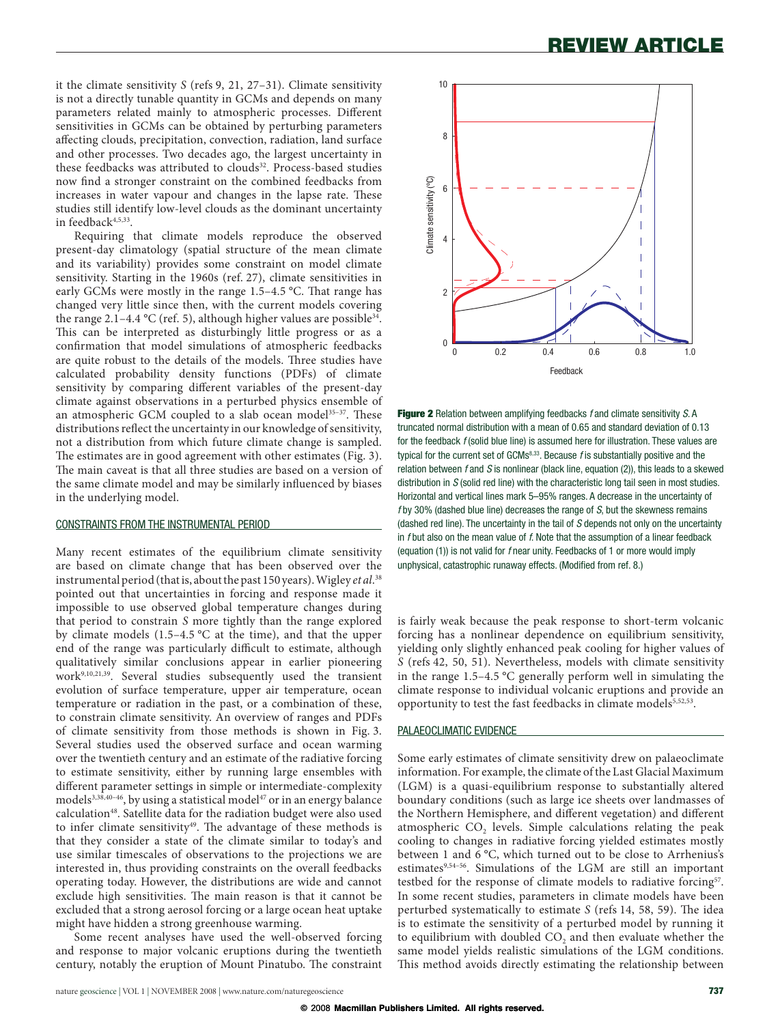it the climate sensitivity  $S$  (refs 9, 21, 27-31). Climate sensitivity is not a directly tunable quantity in GCMs and depends on many parameters related mainly to atmospheric processes. Different sensitivities in GCMs can be obtained by perturbing parameters affecting clouds, precipitation, convection, radiation, land surface and other processes. Two decades ago, the largest uncertainty in these feedbacks was attributed to clouds<sup>32</sup>. Process-based studies now find a stronger constraint on the combined feedbacks from increases in water vapour and changes in the lapse rate. These studies still identify low-level clouds as the dominant uncertainty in feedback4,5,33.

Requiring that climate models reproduce the observed present-day climatology (spatial structure of the mean climate and its variability) provides some constraint on model climate sensitivity. Starting in the 1960s (ref. 27), climate sensitivities in early GCMs were mostly in the range 1.5-4.5 °C. That range has changed very little since then, with the current models covering the range 2.1–4.4 °C (ref. 5), although higher values are possible<sup>34</sup>. This can be interpreted as disturbingly little progress or as a confirmation that model simulations of atmospheric feedbacks are quite robust to the details of the models. Three studies have calculated probability density functions (PDFs) of climate sensitivity by comparing different variables of the present-day climate against observations in a perturbed physics ensemble of an atmospheric GCM coupled to a slab ocean model<sup>35-37</sup>. These distributions reflect the uncertainty in our knowledge of sensitivity, not a distribution from which future climate change is sampled. The estimates are in good agreement with other estimates (Fig. 3). The main caveat is that all three studies are based on a version of the same climate model and may be similarly influenced by biases in the underlying model.

### **CONSTRAINTS FROM THE INSTRUMENTAL PERIOD**

Many recent estimates of the equilibrium climate sensitivity are based on climate change that has been observed over the instrumental period (that is, about the past 150 years). Wigley et al.<sup>38</sup> pointed out that uncertainties in forcing and response made it impossible to use observed global temperature changes during that period to constrain S more tightly than the range explored by climate models  $(1.5-4.5 \degree C)$  at the time), and that the upper end of the range was particularly difficult to estimate, although qualitatively similar conclusions appear in earlier pioneering work<sup>9,10,21,39</sup>. Several studies subsequently used the transient evolution of surface temperature, upper air temperature, ocean temperature or radiation in the past, or a combination of these, to constrain climate sensitivity. An overview of ranges and PDFs of climate sensitivity from those methods is shown in Fig. 3. Several studies used the observed surface and ocean warming over the twentieth century and an estimate of the radiative forcing to estimate sensitivity, either by running large ensembles with different parameter settings in simple or intermediate-complexity models<sup>3,38,40-46</sup>, by using a statistical model<sup>47</sup> or in an energy balance calculation<sup>48</sup>. Satellite data for the radiation budget were also used to infer climate sensitivity<sup>49</sup>. The advantage of these methods is that they consider a state of the climate similar to today's and use similar timescales of observations to the projections we are interested in, thus providing constraints on the overall feedbacks operating today. However, the distributions are wide and cannot exclude high sensitivities. The main reason is that it cannot be excluded that a strong aerosol forcing or a large ocean heat uptake might have hidden a strong greenhouse warming.

Some recent analyses have used the well-observed forcing and response to major volcanic eruptions during the twentieth century, notably the eruption of Mount Pinatubo. The constraint



Figure 2 Relation between amplifying feedbacks f and climate sensitivity S. A truncated normal distribution with a mean of 0.65 and standard deviation of 0.13 for the feedback  $f$  (solid blue line) is assumed here for illustration. These values are typical for the current set of  $GCMs<sup>8,33</sup>$ . Because f is substantially positive and the relation between  $f$  and  $S$  is nonlinear (black line, equation (2)), this leads to a skewed distribution in  $S$  (solid red line) with the characteristic long tail seen in most studies. Horizontal and vertical lines mark 5-95% ranges. A decrease in the uncertainty of  $f$  by 30% (dashed blue line) decreases the range of  $S$ , but the skewness remains (dashed red line). The uncertainty in the tail of S depends not only on the uncertainty in  $f$  but also on the mean value of  $f$ . Note that the assumption of a linear feedback (equation (1)) is not valid for f near unity. Feedbacks of 1 or more would imply unphysical, catastrophic runaway effects. (Modified from ref. 8.)

is fairly weak because the peak response to short-term volcanic forcing has a nonlinear dependence on equilibrium sensitivity, yielding only slightly enhanced peak cooling for higher values of S (refs 42, 50, 51). Nevertheless, models with climate sensitivity in the range  $1.5-4.5$  °C generally perform well in simulating the climate response to individual volcanic eruptions and provide an opportunity to test the fast feedbacks in climate models<sup>5,52,53</sup>.

### PALAEOCLIMATIC EVIDENCE

Some early estimates of climate sensitivity drew on palaeoclimate information. For example, the climate of the Last Glacial Maximum (LGM) is a quasi-equilibrium response to substantially altered boundary conditions (such as large ice sheets over landmasses of the Northern Hemisphere, and different vegetation) and different atmospheric CO<sub>2</sub> levels. Simple calculations relating the peak cooling to changes in radiative forcing yielded estimates mostly between 1 and 6 °C, which turned out to be close to Arrhenius's estimates<sup>9,54-56</sup>. Simulations of the LGM are still an important testbed for the response of climate models to radiative forcing<sup>57</sup>. In some recent studies, parameters in climate models have been perturbed systematically to estimate S (refs 14, 58, 59). The idea is to estimate the sensitivity of a perturbed model by running it to equilibrium with doubled CO<sub>2</sub> and then evaluate whether the same model yields realistic simulations of the LGM conditions. This method avoids directly estimating the relationship between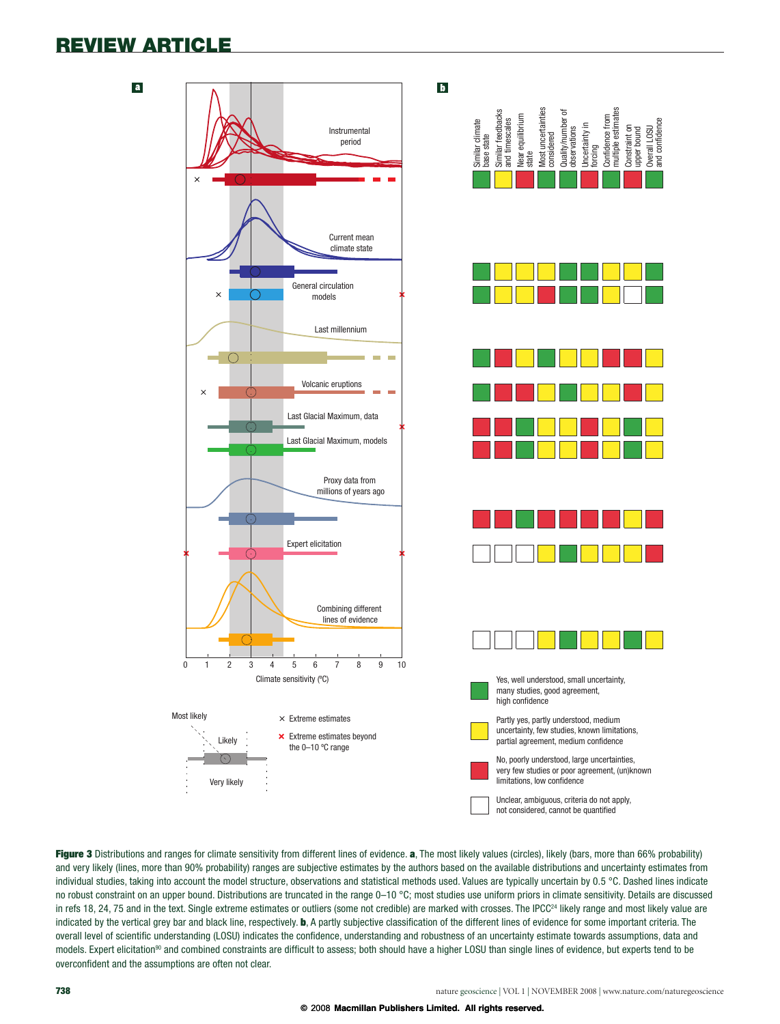

Figure 3 Distributions and ranges for climate sensitivity from different lines of evidence. a, The most likely values (circles), likely (bars, more than 66% probability) and very likely (lines, more than 90% probability) ranges are subjective estimates by the authors based on the available distributions and uncertainty estimates from individual studies, taking into account the model structure, observations and statistical methods used. Values are typically uncertain by 0.5 °C. Dashed lines indicate no robust constraint on an upper bound. Distributions are truncated in the range  $0-10\degree C$ ; most studies use uniform priors in climate sensitivity. Details are discussed in refs 18, 24, 75 and in the text. Single extreme estimates or outliers (some not credible) are marked with crosses. The IPCC<sup>24</sup> likely range and most likely value are indicated by the vertical grey bar and black line, respectively. **b**, A partly subjective classification of the different lines of evidence for some important criteria. The overall level of scientific understanding (LOSU) indicates the confidence, understanding and robustness of an uncertainty estimate towards assumptions, data and models. Expert elicitation<sup>90</sup> and combined constraints are difficult to assess; both should have a higher LOSU than single lines of evidence, but experts tend to be overconfident and the assumptions are often not clear.

upper bound Overall LOSU and confidence

Overall LOSU<br>and confidence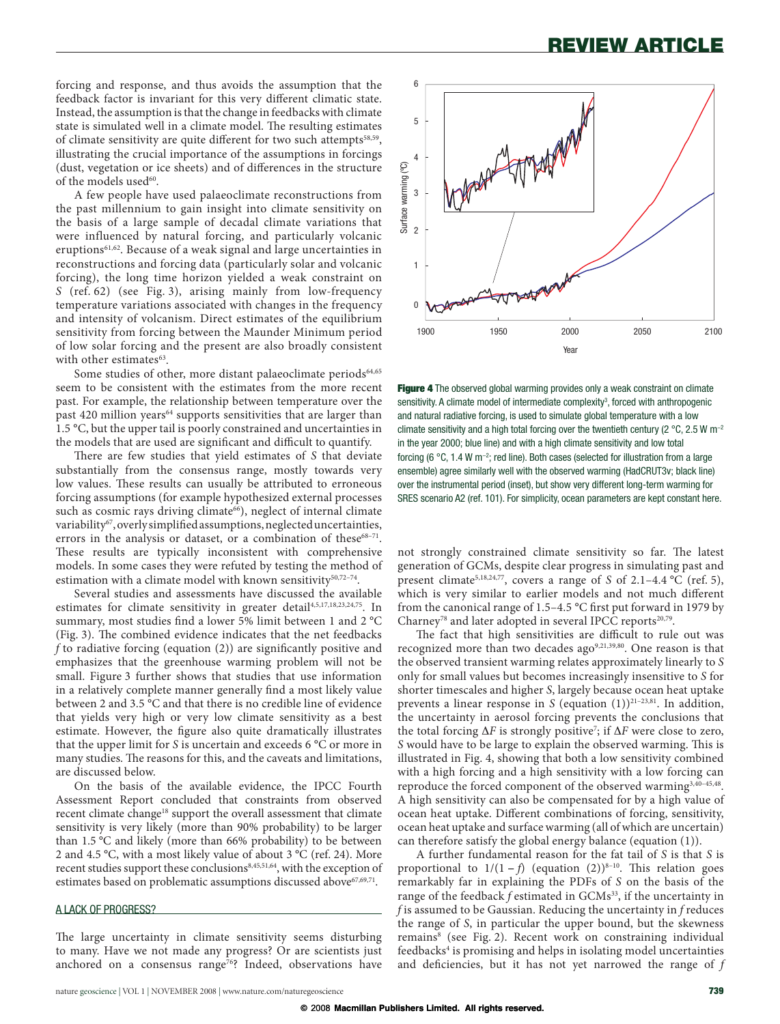forcing and response, and thus avoids the assumption that the feedback factor is invariant for this very different climatic state. Instead, the assumption is that the change in feedbacks with climate state is simulated well in a climate model. The resulting estimates of climate sensitivity are quite different for two such attempts<sup>58,59</sup>, illustrating the crucial importance of the assumptions in forcings (dust, vegetation or ice sheets) and of differences in the structure of the models used $60$ .

A few people have used palaeoclimate reconstructions from the past millennium to gain insight into climate sensitivity on the basis of a large sample of decadal climate variations that were influenced by natural forcing, and particularly volcanic eruptions<sup>61,62</sup>. Because of a weak signal and large uncertainties in reconstructions and forcing data (particularly solar and volcanic forcing), the long time horizon yielded a weak constraint on S (ref. 62) (see Fig. 3), arising mainly from low-frequency temperature variations associated with changes in the frequency and intensity of volcanism. Direct estimates of the equilibrium sensitivity from forcing between the Maunder Minimum period of low solar forcing and the present are also broadly consistent with other estimates<sup>63</sup>.

Some studies of other, more distant palaeoclimate periods<sup>64,65</sup> seem to be consistent with the estimates from the more recent past. For example, the relationship between temperature over the past 420 million years<sup>64</sup> supports sensitivities that are larger than 1.5 °C, but the upper tail is poorly constrained and uncertainties in the models that are used are significant and difficult to quantify.

There are few studies that yield estimates of  $S$  that deviate substantially from the consensus range, mostly towards very low values. These results can usually be attributed to erroneous forcing assumptions (for example hypothesized external processes such as cosmic rays driving climate<sup>66</sup>), neglect of internal climate variability<sup>67</sup>, overly simplified assumptions, neglected uncertainties, errors in the analysis or dataset, or a combination of these<sup>68-71</sup>. These results are typically inconsistent with comprehensive models. In some cases they were refuted by testing the method of estimation with a climate model with known sensitivity<sup>50,72-74</sup>.

Several studies and assessments have discussed the available estimates for climate sensitivity in greater detail<sup>4,5,17,18,23,24,75</sup>. In summary, most studies find a lower 5% limit between 1 and 2 °C (Fig. 3). The combined evidence indicates that the net feedbacks f to radiative forcing (equation  $(2)$ ) are significantly positive and emphasizes that the greenhouse warming problem will not be small. Figure 3 further shows that studies that use information in a relatively complete manner generally find a most likely value between 2 and 3.5 °C and that there is no credible line of evidence that yields very high or very low climate sensitivity as a best estimate. However, the figure also quite dramatically illustrates that the upper limit for S is uncertain and exceeds 6 °C or more in many studies. The reasons for this, and the caveats and limitations, are discussed below.

On the basis of the available evidence, the IPCC Fourth Assessment Report concluded that constraints from observed recent climate change<sup>18</sup> support the overall assessment that climate sensitivity is very likely (more than 90% probability) to be larger than 1.5 °C and likely (more than 66% probability) to be between 2 and 4.5 °C, with a most likely value of about 3 °C (ref. 24). More recent studies support these conclusions<sup>8,45,51,64</sup>, with the exception of estimates based on problematic assumptions discussed above<sup>67,69,71</sup>.

### A LACK OF PROGRESS?

The large uncertainty in climate sensitivity seems disturbing to many. Have we not made any progress? Or are scientists just anchored on a consensus range<sup>76</sup>? Indeed, observations have



Figure 4 The observed global warming provides only a weak constraint on climate sensitivity. A climate model of intermediate complexity<sup>3</sup>, forced with anthropogenic and natural radiative forcing, is used to simulate global temperature with a low climate sensitivity and a high total forcing over the twentieth century (2  $^{\circ}$ C, 2.5 W m<sup>-2</sup> in the year 2000; blue line) and with a high climate sensitivity and low total forcing (6 °C, 1.4 W m<sup>-2</sup>; red line). Both cases (selected for illustration from a large ensemble) agree similarly well with the observed warming (HadCRUT3v; black line) over the instrumental period (inset), but show very different long-term warming for SRES scenario A2 (ref. 101). For simplicity, ocean parameters are kept constant here.

not strongly constrained climate sensitivity so far. The latest generation of GCMs, despite clear progress in simulating past and present climate<sup>5,18,24,77</sup>, covers a range of S of 2.1–4.4 °C (ref. 5), which is very similar to earlier models and not much different from the canonical range of  $1.5-4.5$  °C first put forward in 1979 by Charney<sup>78</sup> and later adopted in several IPCC reports<sup>20,79</sup>.

The fact that high sensitivities are difficult to rule out was recognized more than two decades ago<sup>9,21,39,80</sup>. One reason is that the observed transient warming relates approximately linearly to S only for small values but becomes increasingly insensitive to S for shorter timescales and higher S, largely because ocean heat uptake prevents a linear response in S (equation  $(1))^{21-23,81}$ . In addition, the uncertainty in aerosol forcing prevents the conclusions that the total forcing  $\Delta F$  is strongly positive<sup>7</sup>; if  $\Delta F$  were close to zero, S would have to be large to explain the observed warming. This is illustrated in Fig. 4, showing that both a low sensitivity combined with a high forcing and a high sensitivity with a low forcing can reproduce the forced component of the observed warming<sup>3,40-45,48</sup>. A high sensitivity can also be compensated for by a high value of ocean heat uptake. Different combinations of forcing, sensitivity, ocean heat uptake and surface warming (all of which are uncertain) can therefore satisfy the global energy balance (equation (1)).

A further fundamental reason for the fat tail of S is that S is proportional to  $1/(1-f)$  (equation (2))<sup>8-10</sup>. This relation goes remarkably far in explaining the PDFs of S on the basis of the range of the feedback  $f$  estimated in  $GCMs<sup>33</sup>$ , if the uncertainty in  $f$  is assumed to be Gaussian. Reducing the uncertainty in  $f$  reduces the range of S, in particular the upper bound, but the skewness remains<sup>8</sup> (see Fig. 2). Recent work on constraining individual feedbacks<sup>4</sup> is promising and helps in isolating model uncertainties and deficiencies, but it has not yet narrowed the range of  $f$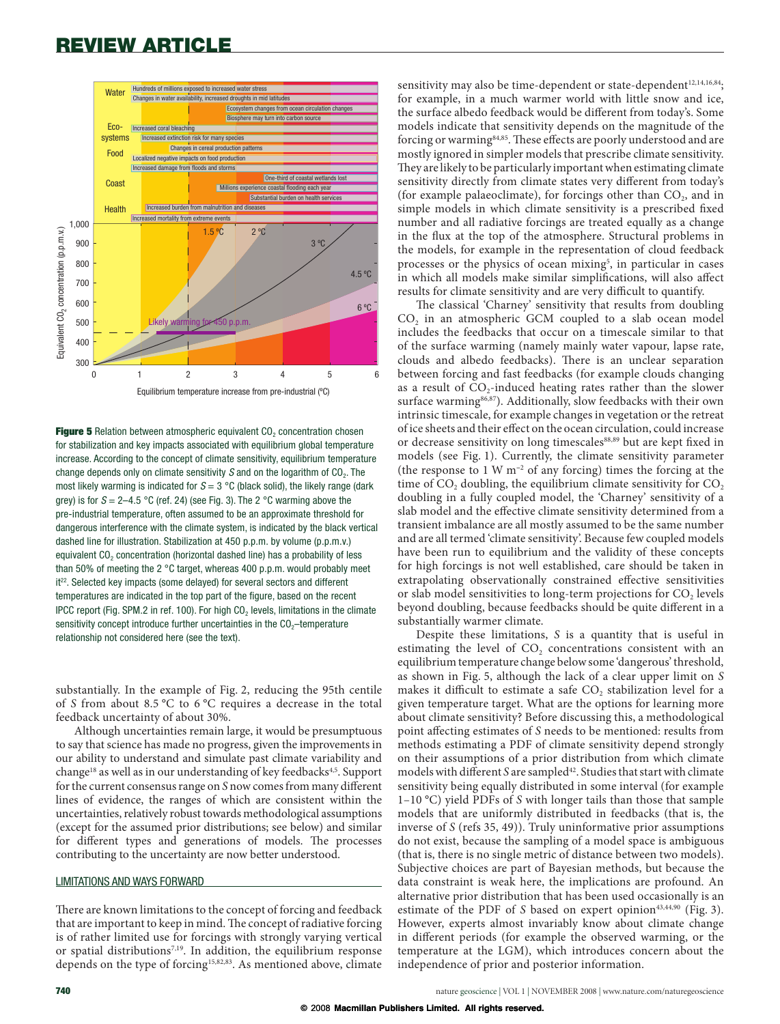

Figure 5 Relation between atmospheric equivalent  $CO<sub>2</sub>$  concentration chosen for stabilization and key impacts associated with equilibrium global temperature increase. According to the concept of climate sensitivity, equilibrium temperature change depends only on climate sensitivity  $S$  and on the logarithm of  $CO<sub>2</sub>$ . The most likely warming is indicated for  $S = 3$  °C (black solid), the likely range (dark grey) is for  $S = 2-4.5$  °C (ref. 24) (see Fig. 3). The 2 °C warming above the pre-industrial temperature, often assumed to be an approximate threshold for dangerous interference with the climate system, is indicated by the black vertical dashed line for illustration. Stabilization at 450 p.p.m. by volume (p.p.m.v.) equivalent CO<sub>2</sub> concentration (horizontal dashed line) has a probability of less than 50% of meeting the 2 °C target, whereas 400 p.p.m. would probably meet it<sup>22</sup>. Selected key impacts (some delayed) for several sectors and different temperatures are indicated in the top part of the figure, based on the recent IPCC report (Fig. SPM.2 in ref. 100). For high CO<sub>2</sub> levels, limitations in the climate sensitivity concept introduce further uncertainties in the  $CO<sub>2</sub>$ -temperature relationship not considered here (see the text).

substantially. In the example of Fig. 2, reducing the 95th centile of S from about 8.5 °C to 6 °C requires a decrease in the total feedback uncertainty of about 30%.

Although uncertainties remain large, it would be presumptuous to say that science has made no progress, given the improvements in our ability to understand and simulate past climate variability and change<sup>18</sup> as well as in our understanding of key feedbacks<sup>4,5</sup>. Support for the current consensus range on S now comes from many different lines of evidence, the ranges of which are consistent within the uncertainties, relatively robust towards methodological assumptions (except for the assumed prior distributions; see below) and similar for different types and generations of models. The processes contributing to the uncertainty are now better understood.

### LIMITATIONS AND WAYS FORWARD

There are known limitations to the concept of forcing and feedback that are important to keep in mind. The concept of radiative forcing is of rather limited use for forcings with strongly varying vertical or spatial distributions<sup>7,19</sup>. In addition, the equilibrium response depends on the type of forcing<sup>15,82,83</sup>. As mentioned above, climate

sensitivity may also be time-dependent or state-dependent<sup>12,14,16,84</sup>; for example, in a much warmer world with little snow and ice, the surface albedo feedback would be different from today's. Some models indicate that sensitivity depends on the magnitude of the forcing or warming<sup>84,85</sup>. These effects are poorly understood and are mostly ignored in simpler models that prescribe climate sensitivity. They are likely to be particularly important when estimating climate sensitivity directly from climate states very different from today's (for example palaeoclimate), for forcings other than  $CO<sub>2</sub>$ , and in simple models in which climate sensitivity is a prescribed fixed number and all radiative forcings are treated equally as a change in the flux at the top of the atmosphere. Structural problems in the models, for example in the representation of cloud feedback processes or the physics of ocean mixing<sup>5</sup>, in particular in cases in which all models make similar simplifications, will also affect results for climate sensitivity and are very difficult to quantify.

The classical 'Charney' sensitivity that results from doubling CO<sub>2</sub> in an atmospheric GCM coupled to a slab ocean model includes the feedbacks that occur on a timescale similar to that of the surface warming (namely mainly water vapour, lapse rate, clouds and albedo feedbacks). There is an unclear separation between forcing and fast feedbacks (for example clouds changing as a result of CO<sub>2</sub>-induced heating rates rather than the slower surface warming<sup>86,87</sup>). Additionally, slow feedbacks with their own intrinsic timescale, for example changes in vegetation or the retreat of ice sheets and their effect on the ocean circulation, could increase or decrease sensitivity on long timescales<sup>88,89</sup> but are kept fixed in models (see Fig. 1). Currently, the climate sensitivity parameter (the response to  $1 \text{ W m}^{-2}$  of any forcing) times the forcing at the time of CO<sub>2</sub> doubling, the equilibrium climate sensitivity for CO<sub>2</sub> doubling in a fully coupled model, the 'Charney' sensitivity of a slab model and the effective climate sensitivity determined from a transient imbalance are all mostly assumed to be the same number and are all termed 'climate sensitivity'. Because few coupled models have been run to equilibrium and the validity of these concepts for high forcings is not well established, care should be taken in extrapolating observationally constrained effective sensitivities or slab model sensitivities to long-term projections for CO<sub>2</sub> levels beyond doubling, because feedbacks should be quite different in a substantially warmer climate.

Despite these limitations, S is a quantity that is useful in estimating the level of CO<sub>2</sub> concentrations consistent with an equilibrium temperature change below some 'dangerous' threshold, as shown in Fig. 5, although the lack of a clear upper limit on S makes it difficult to estimate a safe CO<sub>2</sub> stabilization level for a given temperature target. What are the options for learning more about climate sensitivity? Before discussing this, a methodological point affecting estimates of S needs to be mentioned: results from methods estimating a PDF of climate sensitivity depend strongly on their assumptions of a prior distribution from which climate models with different S are sampled<sup>42</sup>. Studies that start with climate sensitivity being equally distributed in some interval (for example  $1-10$  °C) yield PDFs of S with longer tails than those that sample models that are uniformly distributed in feedbacks (that is, the inverse of  $S$  (refs 35, 49)). Truly uninformative prior assumptions do not exist, because the sampling of a model space is ambiguous (that is, there is no single metric of distance between two models). Subjective choices are part of Bayesian methods, but because the data constraint is weak here, the implications are profound. An alternative prior distribution that has been used occasionally is an estimate of the PDF of S based on expert opinion<sup>43,44,90</sup> (Fig. 3). However, experts almost invariably know about climate change in different periods (for example the observed warming, or the temperature at the LGM), which introduces concern about the independence of prior and posterior information.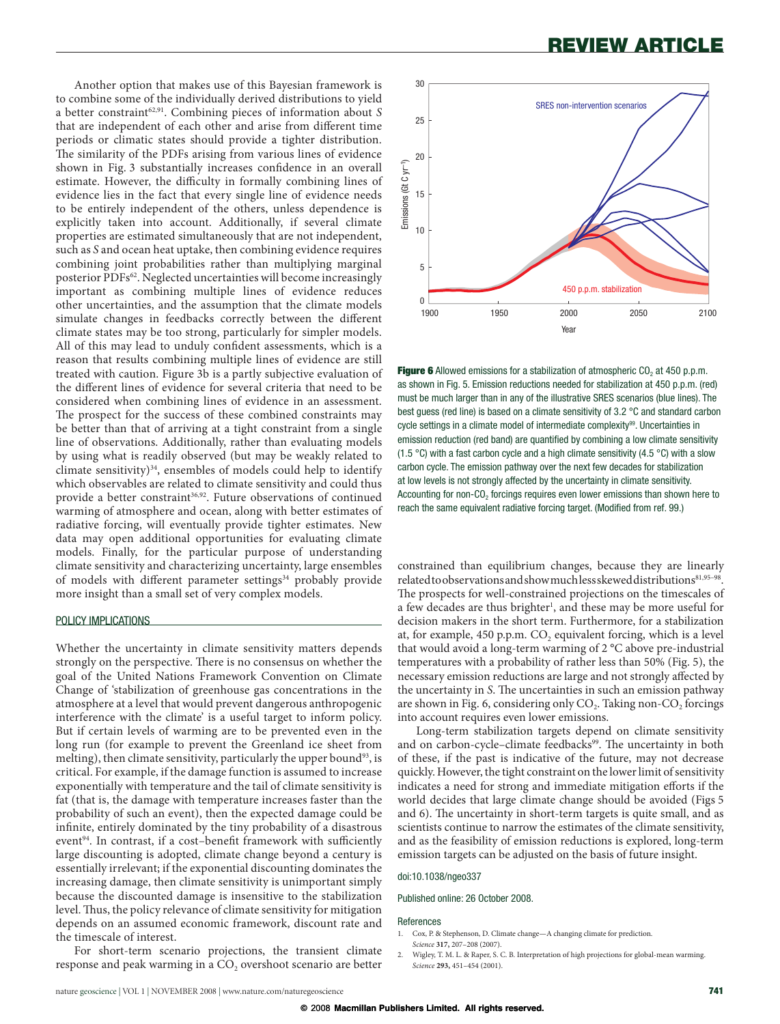Another option that makes use of this Bayesian framework is to combine some of the individually derived distributions to yield a better constraint<sup>62,91</sup>. Combining pieces of information about S that are independent of each other and arise from different time periods or climatic states should provide a tighter distribution. The similarity of the PDFs arising from various lines of evidence shown in Fig. 3 substantially increases confidence in an overall estimate. However, the difficulty in formally combining lines of evidence lies in the fact that every single line of evidence needs to be entirely independent of the others, unless dependence is explicitly taken into account. Additionally, if several climate properties are estimated simultaneously that are not independent, such as S and ocean heat uptake, then combining evidence requires combining joint probabilities rather than multiplying marginal posterior PDFs<sup>62</sup>. Neglected uncertainties will become increasingly important as combining multiple lines of evidence reduces other uncertainties, and the assumption that the climate models simulate changes in feedbacks correctly between the different climate states may be too strong, particularly for simpler models. All of this may lead to unduly confident assessments, which is a reason that results combining multiple lines of evidence are still treated with caution. Figure 3b is a partly subjective evaluation of the different lines of evidence for several criteria that need to be considered when combining lines of evidence in an assessment. The prospect for the success of these combined constraints may be better than that of arriving at a tight constraint from a single line of observations. Additionally, rather than evaluating models by using what is readily observed (but may be weakly related to climate sensitivity)<sup>34</sup>, ensembles of models could help to identify which observables are related to climate sensitivity and could thus provide a better constraint 36,92 . Future observations of continued warming of atmosphere and ocean, along with better estimates of radiative forcing, will eventually provide tighter estimates. New data may open additional opportunities for evaluating climate models. Finally, for the particular purpose of understanding climate sensitivity and characterizing uncertainty, large ensembles of models with different parameter settings<sup>34</sup> probably provide more insight than a small set of very complex models.

### POLICY IMPLICATIONS

Whether the uncertainty in climate sensitivity matters depends strongly on the perspective. There is no consensus on whether the goal of the United Nations Framework Convention on Climate Change of 'stabilization of greenhouse gas concentrations in the atmosphere at a level that would prevent dangerous anthropogenic interference with the climate' is a useful target to inform policy. But if certain levels of warming are to be prevented even in the long run (for example to prevent the Greenland ice sheet from melting), then climate sensitivity, particularly the upper bound<sup>93</sup>, is critical. For example, if the damage function is assumed to increase exponentially with temperature and the tail of climate sensitivity is fat (that is, the damage with temperature increases faster than the probability of such an event), then the expected damage could be infinite, entirely dominated by the tiny probability of a disastrous event<sup>94</sup>. In contrast, if a cost–benefit framework with sufficiently large discounting is adopted, climate change beyond a century is essentially irrelevant; if the exponential discounting dominates the increasing damage, then climate sensitivity is unimportant simply because the discounted damage is insensitive to the stabilization level. Thus, the policy relevance of climate sensitivity for mitigation depends on an assumed economic framework, discount rate and the timescale of interest.





**Figure 6** Allowed emissions for a stabilization of atmospheric  $CO<sub>2</sub>$  at 450 p.p.m. as shown in Fig. 5. Emission reductions needed for stabilization at 450 p.p.m. (red) must be much larger than in any of the illustrative SRES scenarios (blue lines). The best guess (red line) is based on a climate sensitivity of 3.2 °C and standard carbon cycle settings in a climate model of intermediate complexity<sup>99</sup>. Uncertainties in emission reduction (red band) are quantified by combining a low climate sensitivity (1.5 °C) with a fast carbon cycle and a high climate sensitivity (4.5 °C) with a slow carbon cycle. The emission pathway over the next few decades for stabilization at low levels is not strongly affected by the uncertainty in climate sensitivity. Accounting for non-CO<sub>2</sub> forcings requires even lower emissions than shown here to reach the same equivalent radiative forcing target. (Modified from ref. 99.)

constrained than equilibrium changes, because they are linearly related to observations and show much less skewed distributions81,95-98. The prospects for well-constrained projections on the timescales of a few decades are thus brighter<sup>1</sup>, and these may be more useful for decision makers in the short term. Furthermore, for a stabilization at, for example,  $450$  p.p.m.  $CO$ , equivalent forcing, which is a level that would avoid a long-term warming of 2 °C above pre-industrial temperatures with a probability of rather less than 50% (Fig. 5), the necessary emission reductions are large and not strongly affected by the uncertainty in S. The uncertainties in such an emission pathway are shown in Fig. 6, considering only  $CO<sub>2</sub>$ . Taking non- $CO<sub>2</sub>$  forcings into account requires even lower emissions.

Long-term stabilization targets depend on climate sensitivity and on carbon-cycle-climate feedbacks<sup>99</sup>. The uncertainty in both of these, if the past is indicative of the future, may not decrease quickly. However, the tight constraint on the lower limit of sensitivity indicates a need for strong and immediate mitigation efforts if the world decides that large climate change should be avoided (Figs 5 and 6). The uncertainty in short-term targets is quite small, and as scientists continue to narrow the estimates of the climate sensitivity, and as the feasibility of emission reductions is explored, long-term emission targets can be adjusted on the basis of future insight.

### doi:10.1038/ngeo337

Published online: 26 October 2008.

#### References

- 1. Cox, P. & Stephenson, D. Climate change—A changing climate for prediction. Science **317,** 207–208 (2007).
- 2. Wigley, T. M. L. & Raper, S. C. B. Interpretation of high projections for global-mean warming. Science **293,** 451–454 (2001).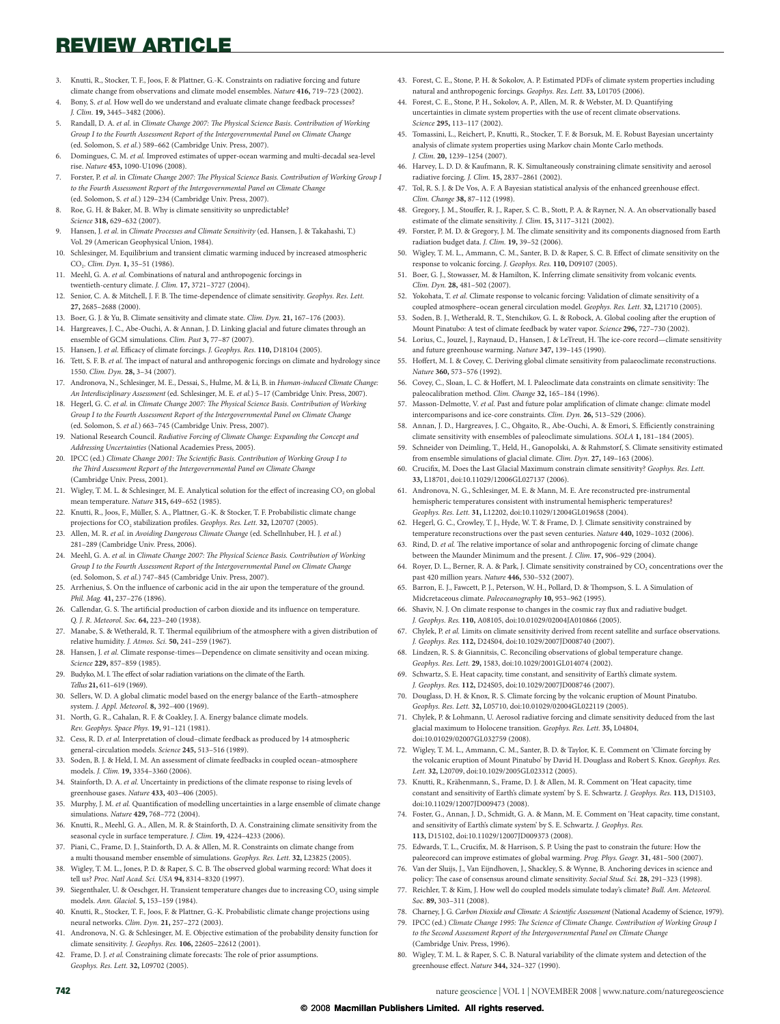- 3. Knutti, R., Stocker, T. F., Joos, F. & Plattner, G.-K. Constraints on radiative forcing and future climate change from observations and climate model ensembles. Nature **416,** 719–723 (2002).
- Bony, S. et al. How well do we understand and evaluate climate change feedback processes? J. Clim. **19,** 3445–3482 (2006).
- 5. Randall, D. A. et al. in Climate Change 2007: The Physical Science Basis. Contribution of Working Group I to the Fourth Assessment Report of the Intergovernmental Panel on Climate Change (ed. Solomon, S. et al.) 589–662 (Cambridge Univ. Press, 2007).
- Domingues, C. M. et al. Improved estimates of upper-ocean warming and multi-decadal sea-level rise. Nature **453,** 1090-U1096 (2008).
- Forster, P. et al. in Climate Change 2007: The Physical Science Basis. Contribution of Working Group I to the Fourth Assessment Report of the Intergovernmental Panel on Climate Change (ed. Solomon, S. et al.) 129–234 (Cambridge Univ. Press, 2007).
- 8. Roe, G. H. & Baker, M. B. Why is climate sensitivity so unpredictable?
- Science **318,** 629–632 (2007). Hansen, J. et al. in Climate Processes and Climate Sensitivity (ed. Hansen, J. & Takahashi, T.)
- Vol. 29 (American Geophysical Union, 1984). 10. Schlesinger, M. Equilibrium and transient climatic warming induced by increased atmospheric
- CO2. Clim. Dyn. **1,** 35–51 (1986). 11. Meehl, G. A. et al. Combinations of natural and anthropogenic forcings in
- twentieth-century climate. J. Clim. **17,** 3721–3727 (2004). 12. Senior, C. A. & Mitchell, J. F. B. The time-dependence of climate sensitivity. Geophys. Res. Lett.
- **27,** 2685–2688 (2000). 13. Boer, G. J. & Yu, B. Climate sensitivity and climate state. Clim. Dyn. **21,** 167–176 (2003).
- 14. Hargreaves, J. C., Abe-Ouchi, A. & Annan, J. D. Linking glacial and future climates through an ensemble of GCM simulations. Clim. Past **3,** 77–87 (2007).
- 15. Hansen, J. et al. Efficacy of climate forcings. J. Geophys. Res. 110, D18104 (2005).
- Tett, S. F. B. et al. The impact of natural and anthropogenic forcings on climate and hydrology since 1550. Clim. Dyn. **28,** 3–34 (2007).
- 17. Andronova, N., Schlesinger, M. E., Dessai, S., Hulme, M. & Li, B. in Human-induced Climate Change: An Interdisciplinary Assessment (ed. Schlesinger, M. E. et al.) 5–17 (Cambridge Univ. Press, 2007).
- 18. Hegerl, G. C. et al. in Climate Change 2007: The Physical Science Basis. Contribution of Working Group I to the Fourth Assessment Report of the Intergovernmental Panel on Climate Change (ed. Solomon, S. et al.) 663–745 (Cambridge Univ. Press, 2007).
- National Research Council. Radiative Forcing of Climate Change: Expanding the Concept and Addressing Uncertainties (National Academies Press, 2005).
- 20. IPCC (ed.) Climate Change 2001: The Scientific Basis. Contribution of Working Group I to the Third Assessment Report of the Intergovernmental Panel on Climate Change (Cambridge Univ. Press, 2001).
- 21. Wigley, T. M. L. & Schlesinger, M. E. Analytical solution for the effect of increasing CO<sub>2</sub> on global mean temperature. Nature **315,** 649–652 (1985).
- 22. Knutti, R., Joos, F., Müller, S. A., Plattner, G.-K. & Stocker, T. F. Probabilistic climate change projections for  $CO_2$  stabilization profiles. Geophys. Res. Lett. **32,** L20707 (2005).
- 23. Allen, M. R. et al. in Avoiding Dangerous Climate Change (ed. Schellnhuber, H. J. et al.) 281–289 (Cambridge Univ. Press, 2006).
- 24. Meehl, G. A. et al. in Climate Change 2007: The Physical Science Basis. Contribution of Working Group I to the Fourth Assessment Report of the Intergovernmental Panel on Climate Change (ed. Solomon, S. et al.) 747–845 (Cambridge Univ. Press, 2007).
- 25. Arrhenius, S. On the influence of carbonic acid in the air upon the temperature of the ground. Phil. Mag. **41,** 237–276 (1896).
- 26. Callendar, G. S. The artificial production of carbon dioxide and its influence on temperature Q. J. R. Meteorol. Soc. **64,** 223–240 (1938).
- 27. Manabe, S. & Wetherald, R. T. Thermal equilibrium of the atmosphere with a given distribution of relative humidity. J. Atmos. Sci. **50,** 241–259 (1967).
- 28. Hansen, J. et al. Climate response-times—Dependence on climate sensitivity and ocean mixing. Science **229,** 857–859 (1985).
- 29. Budyko, M. I. The effect of solar radiation variations on the climate of the Earth. Tellus **21,** 611–619 (1969).
- 30. Sellers, W. D. A global climatic model based on the energy balance of the Earth–atmosphere system. J. Appl. Meteorol. **8,** 392–400 (1969).
- 31. North, G. R., Cahalan, R. F. & Coakley, J. A. Energy balance climate models. Rev. Geophys. Space Phys. **19,** 91–121 (1981).
- 32. Cess, R. D. et al. Interpretation of cloud–climate feedback as produced by 14 atmospheric general-circulation models. Science **245,** 513–516 (1989).
- 33. Soden, B. J. & Held, I. M. An assessment of climate feedbacks in coupled ocean–atmosphere models. J. Clim. **19,** 3354–3360 (2006).
- 34. Stainforth, D. A. et al. Uncertainty in predictions of the climate response to rising levels of greenhouse gases. Nature **433,** 403–406 (2005).
- 35. Murphy, J. M. et al. Quantification of modelling uncertainties in a large ensemble of climate change simulations. Nature **429,** 768–772 (2004).
- 36. Knutti, R., Meehl, G. A., Allen, M. R. & Stainforth, D. A. Constraining climate sensitivity from the seasonal cycle in surface temperature. J. Clim. **19,** 4224–4233 (2006).
- 37. Piani, C., Frame, D. J., Stainforth, D. A. & Allen, M. R. Constraints on climate change from a multi thousand member ensemble of simulations. Geophys. Res. Lett. **32,** L23825 (2005).
- 38. Wigley, T. M. L., Jones, P. D. & Raper, S. C. B. The observed global warming record: What does it tell us? Proc. Natl Acad. Sci. USA **94,** 8314–8320 (1997).
- 39. Siegenthaler, U. & Oeschger, H. Transient temperature changes due to increasing  $CO<sub>2</sub>$  using simple models. Ann. Glaciol. **5,** 153–159 (1984).
- Knutti, R., Stocker, T. F., Joos, F. & Plattner, G.-K. Probabilistic climate change projections using neural networks. Clim. Dyn. **21,** 257–272 (2003).
- 41. Andronova, N. G. & Schlesinger, M. E. Objective estimation of the probability density function for climate sensitivity. J. Geophys. Res. **106,** 22605–22612 (2001).
- 42. Frame, D. J. et al. Constraining climate forecasts: The role of prior assumptions. Geophys. Res. Lett. **32,** L09702 (2005).
- 43. Forest, C. E., Stone, P. H. & Sokolov, A. P. Estimated PDFs of climate system properties including natural and anthropogenic forcings. Geophys. Res. Lett. **33,** L01705 (2006).
- 44. Forest, C. E., Stone, P. H., Sokolov, A. P., Allen, M. R. & Webster, M. D. Quantifying uncertainties in climate system properties with the use of recent climate observations. Science **295,** 113–117 (2002).
- 45. Tomassini, L., Reichert, P., Knutti, R., Stocker, T. F. & Borsuk, M. E. Robust Bayesian uncertainty analysis of climate system properties using Markov chain Monte Carlo methods. J. Clim. **20,** 1239–1254 (2007).
- 46. Harvey, L. D. D. & Kaufmann, R. K. Simultaneously constraining climate sensitivity and aerosol radiative forcing. J. Clim. **15,** 2837–2861 (2002).
- 47. Tol, R. S. J. & De Vos, A. F. A Bayesian statistical analysis of the enhanced greenhouse effect. Clim. Change **38,** 87–112 (1998).
- 48. Gregory, J. M., Stouffer, R. J., Raper, S. C. B., Stott, P. A. & Rayner, N. A. An observationally based estimate of the climate sensitivity. J. Clim. **15,** 3117–3121 (2002).
- 49. Forster, P. M. D. & Gregory, J. M. The climate sensitivity and its components diagnosed from Earth radiation budget data. J. Clim. **19,** 39–52 (2006).
- 50. Wigley, T. M. L., Ammann, C. M., Santer, B. D. & Raper, S. C. B. E"ect of climate sensitivity on the response to volcanic forcing. J. Geophys. Res. **110,** D09107 (2005).
- 51. Boer, G. J., Stowasser, M. & Hamilton, K. Inferring climate sensitivity from volcanic events. Clim. Dyn. **28,** 481–502 (2007).
- 52. Yokohata, T. et al. Climate response to volcanic forcing: Validation of climate sensitivity of a coupled atmosphere–ocean general circulation model. Geophys. Res. Lett. **32,** L21710 (2005).
- 53. Soden, B. J., Wetherald, R. T., Stenchikov, G. L. & Robock, A. Global cooling after the eruption of Mount Pinatubo: A test of climate feedback by water vapor. Science **296,** 727–730 (2002).
- 54. Lorius, C., Jouzel, J., Raynaud, D., Hansen, J. & LeTreut, H. The ice-core record—climate sensitivity and future greenhouse warming. Nature **347,** 139–145 (1990).
- 55. Hoffert, M. I. & Covey, C. Deriving global climate sensitivity from palaeoclimate reconstructions. Nature **360,** 573–576 (1992).
- 56. Covey, C., Sloan, L. C. & Hoffert, M. I. Paleoclimate data constraints on climate sensitivity: The paleocalibration method. Clim. Change **32,** 165–184 (1996).
- 57. Masson-Delmotte, V. et al. Past and future polar amplification of climate change: climate model intercomparisons and ice-core constraints. Clim. Dyn. **26,** 513–529 (2006).
- 58. Annan, J. D., Hargreaves, J. C., Ohgaito, R., Abe-Ouchi, A. & Emori, S. Efficiently constraining climate sensitivity with ensembles of paleoclimate simulations. SOLA **1,** 181–184 (2005).
- 59. Schneider von Deimling, T., Held, H., Ganopolski, A. & Rahmstorf, S. Climate sensitivity estimated from ensemble simulations of glacial climate. Clim. Dyn. **27,** 149–163 (2006).
- 60. Crucifix, M. Does the Last Glacial Maximum constrain climate sensitivity? Geophys. Res. Lett. **33,** L18701, doi:10.11029/12006GL027137 (2006).
- 61. Andronova, N. G., Schlesinger, M. E. & Mann, M. E. Are reconstructed pre-instrumental hemispheric temperatures consistent with instrumental hemispheric temperatures? Geophys. Res. Lett. **31,** L12202, doi:10.11029/12004GL019658 (2004).
- 62. Hegerl, G. C., Crowley, T. J., Hyde, W. T. & Frame, D. J. Climate sensitivity constrained by temperature reconstructions over the past seven centuries. Nature **440,** 1029–1032 (2006).
- 63. Rind, D. et al. The relative importance of solar and anthropogenic forcing of climate change between the Maunder Minimum and the present. J. Clim. **17,** 906–929 (2004).
- 64. Royer, D. L., Berner, R. A. & Park, J. Climate sensitivity constrained by CO<sub>2</sub> concentrations over the past 420 million years. Nature **446,** 530–532 (2007).
- 65. Barron, E. J., Fawcett, P. J., Peterson, W. H., Pollard, D. & Thompson, S. L. A Simulation of Midcretaceous climate. Paleoceanography **10,** 953–962 (1995).
- 66. Shaviv, N. J. On climate response to changes in the cosmic ray flux and radiative budget J. Geophys. Res. **110,** A08105, doi:10.01029/02004JA010866 (2005).
- 67. Chylek, P. et al. Limits on climate sensitivity derived from recent satellite and surface observations J. Geophys. Res. **112,** D24S04, doi:10.1029/2007JD008740 (2007).
- 68. Lindzen, R. S. & Giannitsis, C. Reconciling observations of global temperature change. Geophys. Res. Lett. **29,** 1583, doi:10.1029/2001GL014074 (2002).
- 69. Schwartz, S. E. Heat capacity, time constant, and sensitivity of Earth's climate system. J. Geophys. Res. **112,** D24S05, doi:10.1029/2007JD008746 (2007).
- 70. Douglass, D. H. & Knox, R. S. Climate forcing by the volcanic eruption of Mount Pinatubo. Geophys. Res. Lett. **32,** L05710, doi:10.01029/02004GL022119 (2005).
- 71. Chylek, P. & Lohmann, U. Aerosol radiative forcing and climate sensitivity deduced from the last glacial maximum to Holocene transition. Geophys. Res. Lett. **35,** L04804, doi:10.01029/02007GL032759 (2008).
- 72. Wigley, T. M. L., Ammann, C. M., Santer, B. D. & Taylor, K. E. Comment on 'Climate forcing by the volcanic eruption of Mount Pinatubo' by David H. Douglass and Robert S. Knox. Geophys. Res. Lett. **32,** L20709, doi:10.1029/2005GL023312 (2005).
- 73. Knutti, R., Krähenmann, S., Frame, D. J. & Allen, M. R. Comment on 'Heat capacity, time constant and sensitivity of Earth's climate system' by S. E. Schwartz. J. Geophys. Res. **113,** D15103, doi:10.11029/12007JD009473 (2008).
- 74. Foster, G., Annan, J. D., Schmidt, G. A. & Mann, M. E. Comment on 'Heat capacity, time constant, and sensitivity of Earth's climate system' by S. E. Schwartz. J. Geophys. Res. **113,** D15102, doi:10.11029/12007JD009373 (2008).
- 75. Edwards, T. L., Crucifix, M. & Harrison, S. P. Using the past to constrain the future: How the paleorecord can improve estimates of global warming. Prog. Phys. Geogr. **31,** 481–500 (2007).
- 76. Van der Sluijs, J., Van Eijndhoven, J., Shackley, S. & Wynne, B. Anchoring devices in science and policy: The case of consensus around climate sensitivity. Social Stud. Sci. 28, 291-323 (1998). 77. Reichler, T. & Kim, J. How well do coupled models simulate today's climate? Bull. Am. Meteorol.
- Soc. **89,** 303–311 (2008). 78. Charney, J. G. Carbon Dioxide and Climate: A Scientific Assessment (National Academy of Science, 1979).
- 79. IPCC (ed.) Climate Change 1995: The Science of Climate Change. Contribution of Working Group I to the Second Assessment Report of the Intergovernmental Panel on Climate Change (Cambridge Univ. Press, 1996).
- 80. Wigley, T. M. L. & Raper, S. C. B. Natural variability of the climate system and detection of the greenhouse effect. Nature 344, 324-327 (1990).